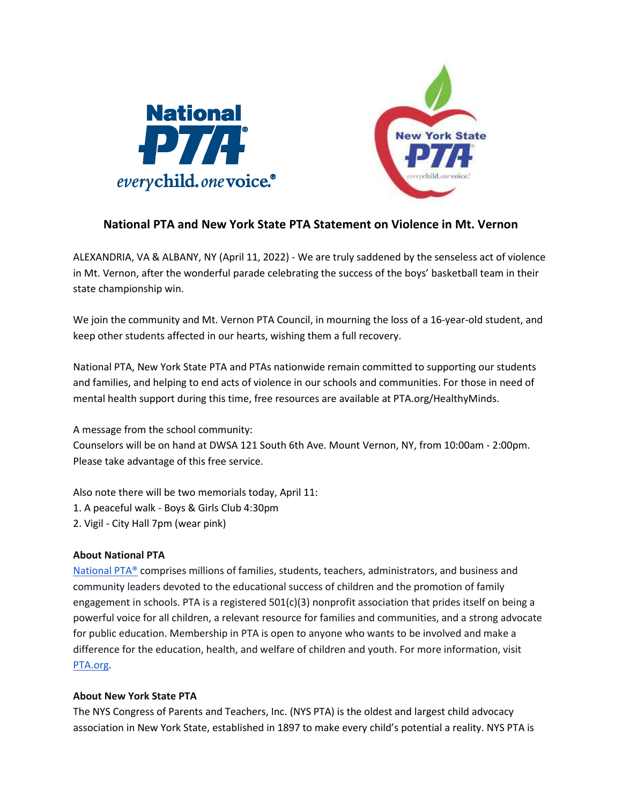



## **National PTA and New York State PTA Statement on Violence in Mt. Vernon**

ALEXANDRIA, VA & ALBANY, NY (April 11, 2022) - We are truly saddened by the senseless act of violence in Mt. Vernon, after the wonderful parade celebrating the success of the boys' basketball team in their state championship win.

We join the community and Mt. Vernon PTA Council, in mourning the loss of a 16-year-old student, and keep other students affected in our hearts, wishing them a full recovery.

National PTA, New York State PTA and PTAs nationwide remain committed to supporting our students and families, and helping to end acts of violence in our schools and communities. For those in need of mental health support during this time, free resources are available at PTA.org/HealthyMinds.

A message from the school community: Counselors will be on hand at DWSA 121 South 6th Ave. Mount Vernon, NY, from 10:00am - 2:00pm. Please take advantage of this free service.

Also note there will be two memorials today, April 11:

- 1. A peaceful walk Boys & Girls Club 4:30pm
- 2. Vigil City Hall 7pm (wear pink)

## **About National PTA**

[National PTA®](https://www.pta.org/) comprises millions of families, students, teachers, administrators, and business and community leaders devoted to the educational success of children and the promotion of family engagement in schools. PTA is a registered  $501(c)(3)$  nonprofit association that prides itself on being a powerful voice for all children, a relevant resource for families and communities, and a strong advocate for public education. Membership in PTA is open to anyone who wants to be involved and make a difference for the education, health, and welfare of children and youth. For more information, visi[t](https://www.pta.org/index.cfm) [PTA.org.](https://www.pta.org/index.cfm)

## **About New York State PTA**

The NYS Congress of Parents and Teachers, Inc. (NYS PTA) is the oldest and largest child advocacy association in New York State, established in 1897 to make every child's potential a reality. NYS PTA is